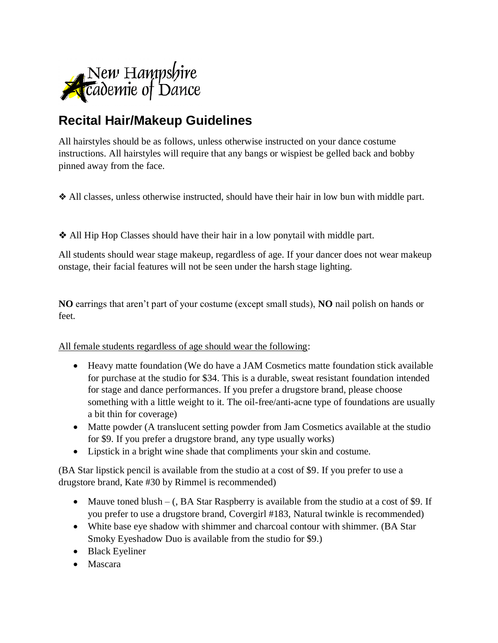

## **Recital Hair/Makeup Guidelines**

All hairstyles should be as follows, unless otherwise instructed on your dance costume instructions. All hairstyles will require that any bangs or wispiest be gelled back and bobby pinned away from the face.

❖ All classes, unless otherwise instructed, should have their hair in low bun with middle part.

❖ All Hip Hop Classes should have their hair in a low ponytail with middle part.

All students should wear stage makeup, regardless of age. If your dancer does not wear makeup onstage, their facial features will not be seen under the harsh stage lighting.

**NO** earrings that aren't part of your costume (except small studs), **NO** nail polish on hands or feet.

All female students regardless of age should wear the following:

- Heavy matte foundation (We do have a JAM Cosmetics matte foundation stick available for purchase at the studio for \$34. This is a durable, sweat resistant foundation intended for stage and dance performances. If you prefer a drugstore brand, please choose something with a little weight to it. The oil-free/anti-acne type of foundations are usually a bit thin for coverage)
- Matte powder (A translucent setting powder from Jam Cosmetics available at the studio for \$9. If you prefer a drugstore brand, any type usually works)
- Lipstick in a bright wine shade that compliments your skin and costume.

(BA Star lipstick pencil is available from the studio at a cost of \$9. If you prefer to use a drugstore brand, Kate #30 by Rimmel is recommended)

- Mauve toned blush (, BA Star Raspberry is available from the studio at a cost of \$9. If you prefer to use a drugstore brand, Covergirl #183, Natural twinkle is recommended)
- White base eye shadow with shimmer and charcoal contour with shimmer. (BA Star Smoky Eyeshadow Duo is available from the studio for \$9.)
- Black Eyeliner
- Mascara